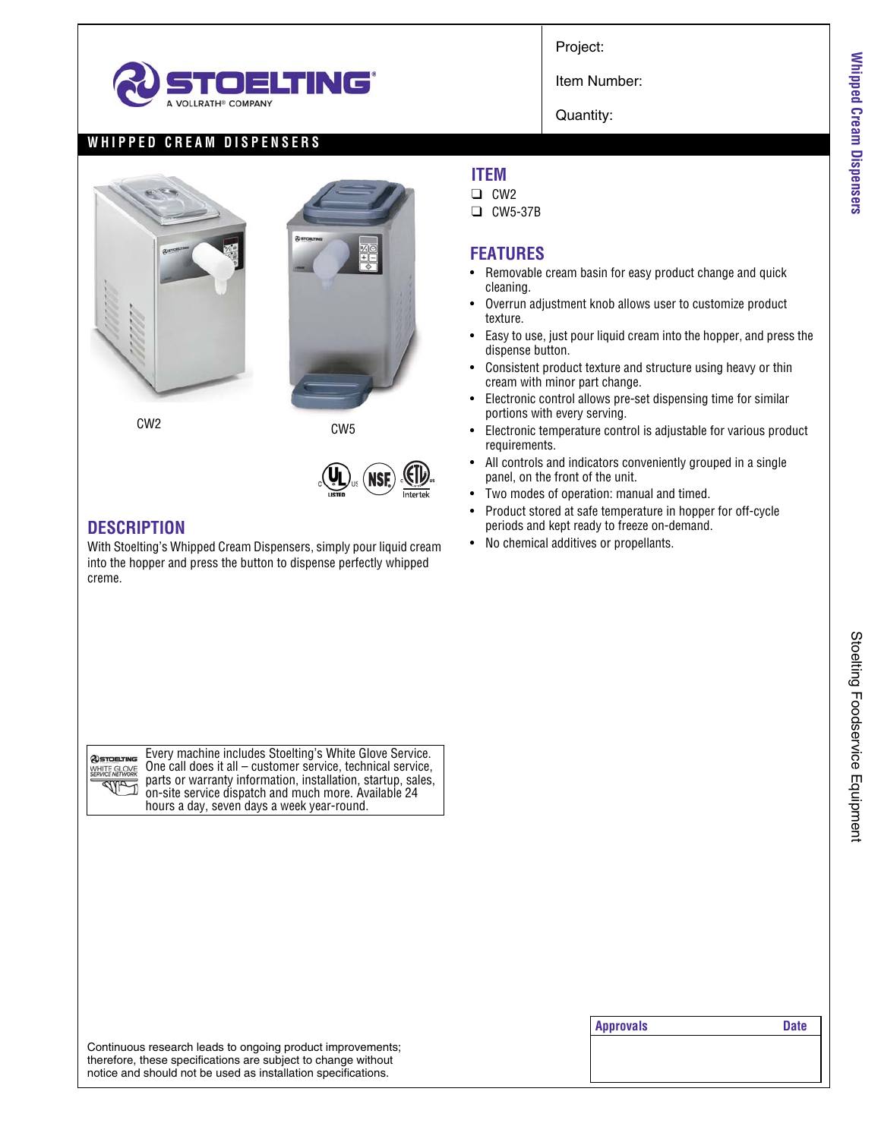

Project:

Item Number:

Quantity:

## **WHIPPED CREAM DISPENSERS**





CW2 CW5



## **DESCRIPTION**

With Stoelting's Whipped Cream Dispensers, simply pour liquid cream into the hopper and press the button to dispense perfectly whipped creme.

**@STOELTING** WHITE GLOVE **SALA** 

Every machine includes Stoelting's White Glove Service. One call does it all – customer service, technical service, parts or warranty information, installation, startup, sales, on-site service dispatch and much more. Available 24 hours a day, seven days a week year-round.

#### Continuous research leads to ongoing product improvements; therefore, these specifications are subject to change without notice and should not be used as installation specifications.

## **ITEM**

- ❑ CW2
- ❑ CW5-37B

#### **FEATURES**

- Removable cream basin for easy product change and quick cleaning.
- Overrun adjustment knob allows user to customize product texture.
- Easy to use, just pour liquid cream into the hopper, and press the dispense button.
- Consistent product texture and structure using heavy or thin cream with minor part change.
- Electronic control allows pre-set dispensing time for similar portions with every serving.
- Electronic temperature control is adjustable for various product requirements.
- All controls and indicators conveniently grouped in a single panel, on the front of the unit.
- Two modes of operation: manual and timed.
- Product stored at safe temperature in hopper for off-cycle periods and kept ready to freeze on-demand.
- No chemical additives or propellants.

**Whipped Cream Dispensers**